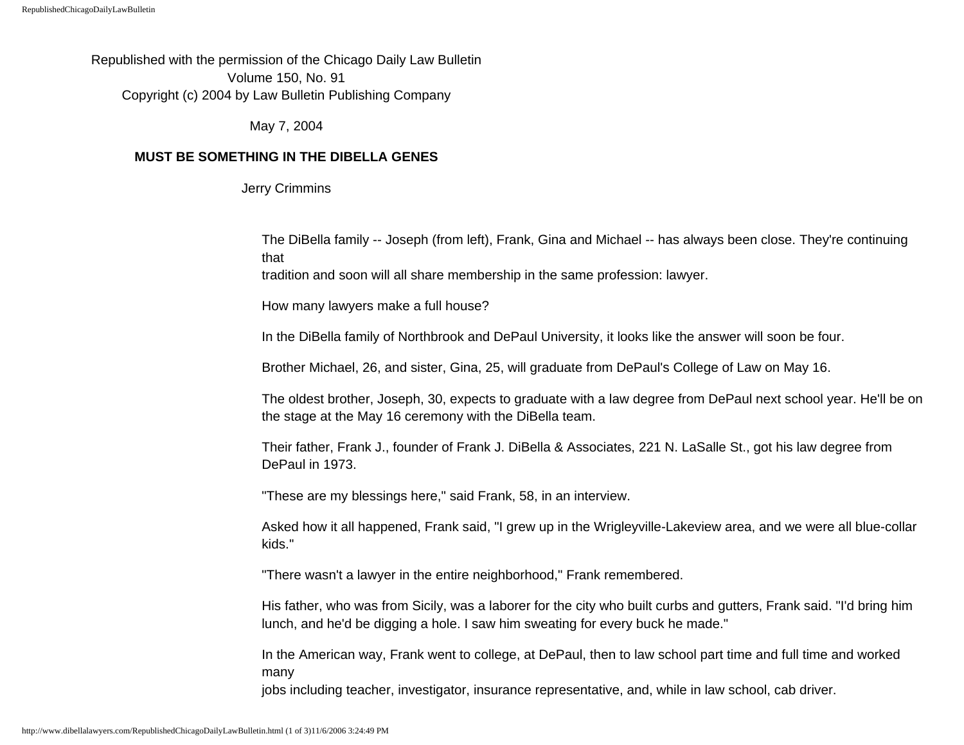Republished with the permission of the Chicago Daily Law Bulletin Volume 150, No. 91 Copyright (c) 2004 by Law Bulletin Publishing Company

May 7, 2004

## **MUST BE SOMETHING IN THE DIBELLA GENES**

Jerry Crimmins

The DiBella family -- Joseph (from left), Frank, Gina and Michael -- has always been close. They're continuing that

tradition and soon will all share membership in the same profession: lawyer.

How many lawyers make a full house?

In the DiBella family of Northbrook and DePaul University, it looks like the answer will soon be four.

Brother Michael, 26, and sister, Gina, 25, will graduate from DePaul's College of Law on May 16.

The oldest brother, Joseph, 30, expects to graduate with a law degree from DePaul next school year. He'll be on the stage at the May 16 ceremony with the DiBella team.

Their father, Frank J., founder of Frank J. DiBella & Associates, 221 N. LaSalle St., got his law degree from DePaul in 1973.

"These are my blessings here," said Frank, 58, in an interview.

Asked how it all happened, Frank said, "I grew up in the Wrigleyville-Lakeview area, and we were all blue-collar kids."

"There wasn't a lawyer in the entire neighborhood," Frank remembered.

His father, who was from Sicily, was a laborer for the city who built curbs and gutters, Frank said. "I'd bring him lunch, and he'd be digging a hole. I saw him sweating for every buck he made."

In the American way, Frank went to college, at DePaul, then to law school part time and full time and worked many

jobs including teacher, investigator, insurance representative, and, while in law school, cab driver.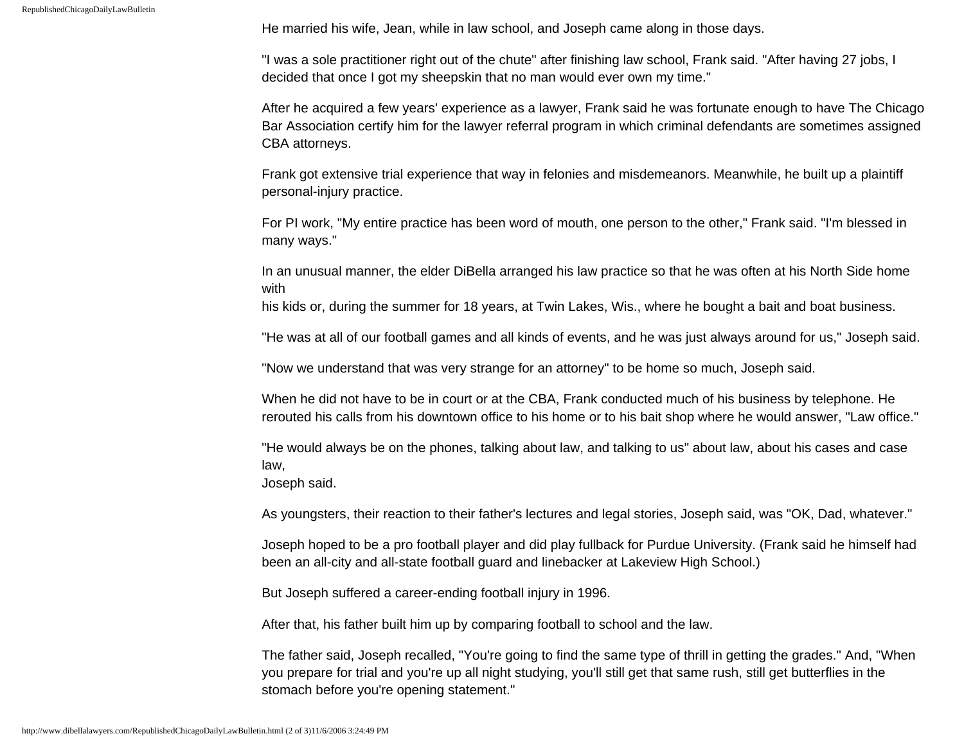He married his wife, Jean, while in law school, and Joseph came along in those days.

"I was a sole practitioner right out of the chute" after finishing law school, Frank said. "After having 27 jobs, I decided that once I got my sheepskin that no man would ever own my time."

After he acquired a few years' experience as a lawyer, Frank said he was fortunate enough to have The Chicago Bar Association certify him for the lawyer referral program in which criminal defendants are sometimes assigned CBA attorneys.

Frank got extensive trial experience that way in felonies and misdemeanors. Meanwhile, he built up a plaintiff personal-injury practice.

For PI work, "My entire practice has been word of mouth, one person to the other," Frank said. "I'm blessed in many ways."

In an unusual manner, the elder DiBella arranged his law practice so that he was often at his North Side home with

his kids or, during the summer for 18 years, at Twin Lakes, Wis., where he bought a bait and boat business.

"He was at all of our football games and all kinds of events, and he was just always around for us," Joseph said.

"Now we understand that was very strange for an attorney" to be home so much, Joseph said.

When he did not have to be in court or at the CBA, Frank conducted much of his business by telephone. He rerouted his calls from his downtown office to his home or to his bait shop where he would answer, "Law office."

"He would always be on the phones, talking about law, and talking to us" about law, about his cases and case law,

Joseph said.

As youngsters, their reaction to their father's lectures and legal stories, Joseph said, was "OK, Dad, whatever."

Joseph hoped to be a pro football player and did play fullback for Purdue University. (Frank said he himself had been an all-city and all-state football guard and linebacker at Lakeview High School.)

But Joseph suffered a career-ending football injury in 1996.

After that, his father built him up by comparing football to school and the law.

The father said, Joseph recalled, "You're going to find the same type of thrill in getting the grades." And, "When you prepare for trial and you're up all night studying, you'll still get that same rush, still get butterflies in the stomach before you're opening statement."